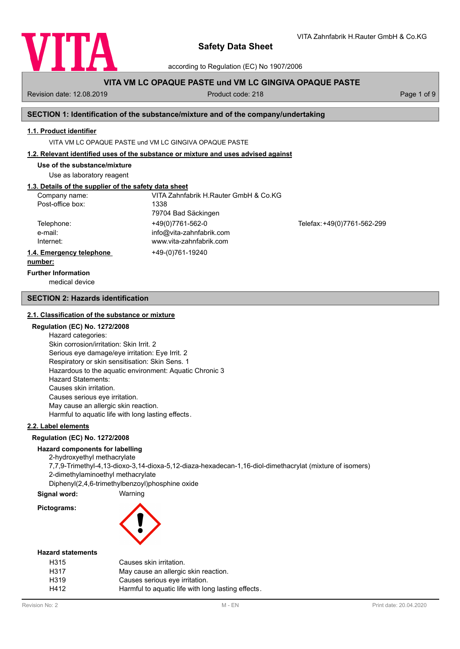

VITA Zahnfabrik H.Rauter GmbH & Co.KG

according to Regulation (EC) No 1907/2006

# **VITA VM LC OPAQUE PASTE und VM LC GINGIVA OPAQUE PASTE**

Revision date: 12.08.2019 **Product code: 218** Product code: 218 **Page 1 of 9** Page 1 of 9

# **SECTION 1: Identification of the substance/mixture and of the company/undertaking**

#### **1.1. Product identifier**

VITA VM LC OPAQUE PASTE und VM LC GINGIVA OPAQUE PASTE

## **1.2. Relevant identified uses of the substance or mixture and uses advised against**

**Use of the substance/mixture**

Use as laboratory reagent

# **1.3. Details of the supplier of the safety data sheet**

| Company name:            | VITA Zahnfabrik H.Rauter GmbH & Co.KG |                             |
|--------------------------|---------------------------------------|-----------------------------|
| Post-office box:         | 1338                                  |                             |
|                          | 79704 Bad Säckingen                   |                             |
| Telephone:               | +49(0)7761-562-0                      | Telefax: +49(0)7761-562-299 |
| e-mail:                  | info@vita-zahnfabrik.com              |                             |
| Internet:                | www.vita-zahnfabrik.com               |                             |
| 1.4. Emergency telephone | +49-(0)761-19240                      |                             |
| numhor:                  |                                       |                             |

#### **number:**

**Further Information**

medical device

## **SECTION 2: Hazards identification**

#### **2.1. Classification of the substance or mixture**

# **Regulation (EC) No. 1272/2008**

Hazard categories: Skin corrosion/irritation: Skin Irrit. 2 Serious eye damage/eye irritation: Eye Irrit. 2 Respiratory or skin sensitisation: Skin Sens. 1 Hazardous to the aquatic environment: Aquatic Chronic 3 Hazard Statements: Causes skin irritation. Causes serious eye irritation. May cause an allergic skin reaction. Harmful to aquatic life with long lasting effects.

# **2.2. Label elements**

#### **Regulation (EC) No. 1272/2008**

## **Hazard components for labelling**

2-hydroxyethyl methacrylate 7,7,9-Trimethyl-4,13-dioxo-3,14-dioxa-5,12-diaza-hexadecan-1,16-diol-dimethacrylat (mixture of isomers) 2-dimethylaminoethyl methacrylate Diphenyl(2,4,6-trimethylbenzoyl)phosphine oxide

**Signal word:** Warning

**Pictograms:**



#### **Hazard statements**

| H315              | Causes skin irritation.                            |
|-------------------|----------------------------------------------------|
| H317              | May cause an allergic skin reaction.               |
| H <sub>3</sub> 19 | Causes serious eye irritation.                     |
| H412              | Harmful to aquatic life with long lasting effects. |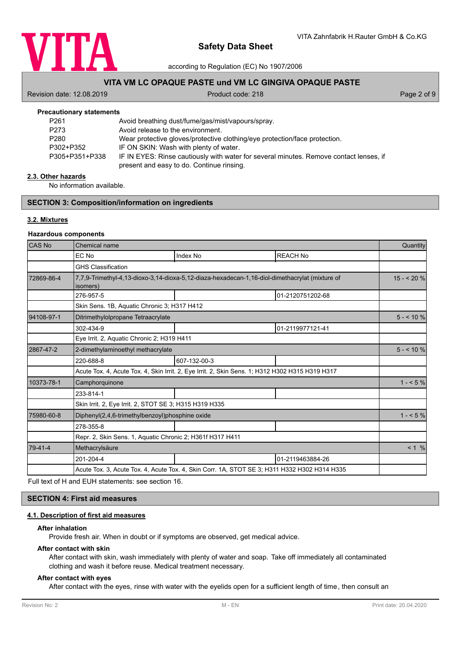

according to Regulation (EC) No 1907/2006

# **VITA VM LC OPAQUE PASTE und VM LC GINGIVA OPAQUE PASTE**

Revision date: 12.08.2019 **Product code: 218** Product code: 218 **Page 2 of 9** Page 2 of 9

| <b>Precautionary statements</b> |                                                                                        |
|---------------------------------|----------------------------------------------------------------------------------------|
| P <sub>261</sub>                | Avoid breathing dust/fume/gas/mist/vapours/spray.                                      |
| P273                            | Avoid release to the environment.                                                      |
| P280                            | Wear protective gloves/protective clothing/eye protection/face protection.             |
| P302+P352                       | IF ON SKIN: Wash with plenty of water.                                                 |
| P305+P351+P338                  | IF IN EYES: Rinse cautiously with water for several minutes. Remove contact lenses, if |
|                                 | present and easy to do. Continue rinsing.                                              |

#### **2.3. Other hazards**

No information available.

# **SECTION 3: Composition/information on ingredients**

# **3.2. Mixtures**

#### **Hazardous components**

| <b>CAS No</b> | Chemical name                                                                                              |              |                                                                                              |            |
|---------------|------------------------------------------------------------------------------------------------------------|--------------|----------------------------------------------------------------------------------------------|------------|
|               | EC No                                                                                                      | Index No     | <b>REACH No</b>                                                                              |            |
|               | <b>GHS Classification</b>                                                                                  |              |                                                                                              |            |
| 72869-86-4    | 7,7,9-Trimethyl-4,13-dioxo-3,14-dioxa-5,12-diaza-hexadecan-1,16-diol-dimethacrylat (mixture of<br>isomers) |              |                                                                                              | $15 - 20%$ |
|               | 276-957-5                                                                                                  |              | 01-2120751202-68                                                                             |            |
|               | Skin Sens. 1B, Aquatic Chronic 3; H317 H412                                                                |              |                                                                                              |            |
| 94108-97-1    | Ditrimethylolpropane Tetraacrylate                                                                         |              |                                                                                              | $5 - 10\%$ |
|               | 302-434-9                                                                                                  |              | 01-2119977121-41                                                                             |            |
|               | Eye Irrit. 2, Aguatic Chronic 2; H319 H411                                                                 |              |                                                                                              |            |
| 2867-47-2     | 2-dimethylaminoethyl methacrylate                                                                          |              |                                                                                              | $5 - 10\%$ |
|               | 220-688-8                                                                                                  | 607-132-00-3 |                                                                                              |            |
|               | Acute Tox. 4, Acute Tox. 4, Skin Irrit. 2, Eye Irrit. 2, Skin Sens. 1; H312 H302 H315 H319 H317            |              |                                                                                              |            |
| 10373-78-1    | Camphorquinone                                                                                             |              |                                                                                              | $1 - 5\%$  |
|               | 233-814-1                                                                                                  |              |                                                                                              |            |
|               | Skin Irrit. 2, Eye Irrit. 2, STOT SE 3; H315 H319 H335                                                     |              |                                                                                              |            |
| 75980-60-8    | Diphenyl(2,4,6-trimethylbenzoyl)phosphine oxide                                                            |              |                                                                                              | $1 - 5\%$  |
|               | 278-355-8                                                                                                  |              |                                                                                              |            |
|               | Repr. 2, Skin Sens. 1, Aquatic Chronic 2; H361f H317 H411                                                  |              |                                                                                              |            |
| 79-41-4       | Methacrylsäure                                                                                             |              |                                                                                              | $< 1 \%$   |
|               | 201-204-4                                                                                                  |              | 01-2119463884-26                                                                             |            |
|               |                                                                                                            |              | Acute Tox. 3, Acute Tox. 4, Acute Tox. 4, Skin Corr. 1A, STOT SE 3; H311 H332 H302 H314 H335 |            |

Full text of H and EUH statements: see section 16.

# **SECTION 4: First aid measures**

# **4.1. Description of first aid measures**

# **After inhalation**

Provide fresh air. When in doubt or if symptoms are observed, get medical advice.

#### **After contact with skin**

After contact with skin, wash immediately with plenty of water and soap. Take off immediately all contaminated clothing and wash it before reuse. Medical treatment necessary.

# **After contact with eyes**

After contact with the eyes, rinse with water with the eyelids open for a sufficient length of time, then consult an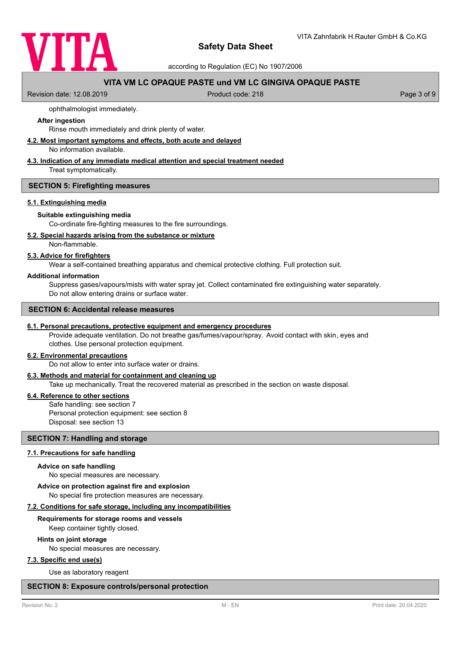

according to Regulation (EC) No 1907/2006

# **VITA VM LC OPAQUE PASTE und VM LC GINGIVA OPAQUE PASTE**

Revision date: 12.08.2019 **Product code: 218** Product code: 218 **Page 3 of 9** Page 3 of 9

## ophthalmologist immediately.

## **After ingestion**

Rinse mouth immediately and drink plenty of water.

# **4.2. Most important symptoms and effects, both acute and delayed**

No information available.

# **4.3. Indication of any immediate medical attention and special treatment needed**

Treat symptomatically.

#### **SECTION 5: Firefighting measures**

#### **5.1. Extinguishing media**

#### **Suitable extinguishing media**

Co-ordinate fire-fighting measures to the fire surroundings.

# **5.2. Special hazards arising from the substance or mixture**

Non-flammable.

# **5.3. Advice for firefighters**

Wear a self-contained breathing apparatus and chemical protective clothing. Full protection suit.

#### **Additional information**

Suppress gases/vapours/mists with water spray jet. Collect contaminated fire extinguishing water separately. Do not allow entering drains or surface water.

#### **SECTION 6: Accidental release measures**

#### **6.1. Personal precautions, protective equipment and emergency procedures**

Provide adequate ventilation. Do not breathe gas/fumes/vapour/spray. Avoid contact with skin, eyes and clothes. Use personal protection equipment.

#### **6.2. Environmental precautions**

Do not allow to enter into surface water or drains.

# **6.3. Methods and material for containment and cleaning up**

Take up mechanically. Treat the recovered material as prescribed in the section on waste disposal.

# **6.4. Reference to other sections**

Safe handling: see section 7 Personal protection equipment: see section 8 Disposal: see section 13

# **SECTION 7: Handling and storage**

## **7.1. Precautions for safe handling**

#### **Advice on safe handling**

No special measures are necessary.

**Advice on protection against fire and explosion**

No special fire protection measures are necessary.

## **7.2. Conditions for safe storage, including any incompatibilities**

#### **Requirements for storage rooms and vessels**

Keep container tightly closed.

#### **Hints on joint storage**

No special measures are necessary.

#### **7.3. Specific end use(s)**

Use as laboratory reagent

#### **SECTION 8: Exposure controls/personal protection**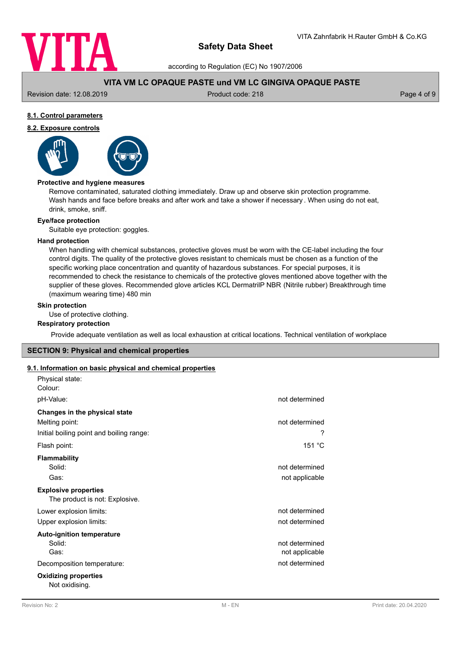

according to Regulation (EC) No 1907/2006

# **VITA VM LC OPAQUE PASTE und VM LC GINGIVA OPAQUE PASTE**

Revision date: 12.08.2019 **Product code: 218** Product code: 218 **Page 4 of 9** Page 4 of 9

# **8.1. Control parameters**

# **8.2. Exposure controls**



## **Protective and hygiene measures**

Remove contaminated, saturated clothing immediately. Draw up and observe skin protection programme. Wash hands and face before breaks and after work and take a shower if necessary . When using do not eat, drink, smoke, sniff.

# **Eye/face protection**

Suitable eye protection: goggles.

#### **Hand protection**

When handling with chemical substances, protective gloves must be worn with the CE-label including the four control digits. The quality of the protective gloves resistant to chemicals must be chosen as a function of the specific working place concentration and quantity of hazardous substances. For special purposes, it is recommended to check the resistance to chemicals of the protective gloves mentioned above together with the supplier of these gloves. Recommended glove articles KCL DermatrilP NBR (Nitrile rubber) Breakthrough time (maximum wearing time) 480 min

# **Skin protection**

Use of protective clothing.

#### **Respiratory protection**

Provide adequate ventilation as well as local exhaustion at critical locations. Technical ventilation of workplace

## **SECTION 9: Physical and chemical properties**

#### **9.1. Information on basic physical and chemical properties**

| Physical state:                               |                |
|-----------------------------------------------|----------------|
| Colour:                                       |                |
| pH-Value:                                     | not determined |
| Changes in the physical state                 |                |
| Melting point:                                | not determined |
| Initial boiling point and boiling range:      | ?              |
| Flash point:                                  | 151 °C         |
| <b>Flammability</b>                           |                |
| Solid:                                        | not determined |
| Gas:                                          | not applicable |
| <b>Explosive properties</b>                   |                |
| The product is not: Explosive.                |                |
| Lower explosion limits:                       | not determined |
| Upper explosion limits:                       | not determined |
| <b>Auto-ignition temperature</b>              |                |
| Solid:                                        | not determined |
| Gas:                                          | not applicable |
| Decomposition temperature:                    | not determined |
| <b>Oxidizing properties</b><br>Not oxidising. |                |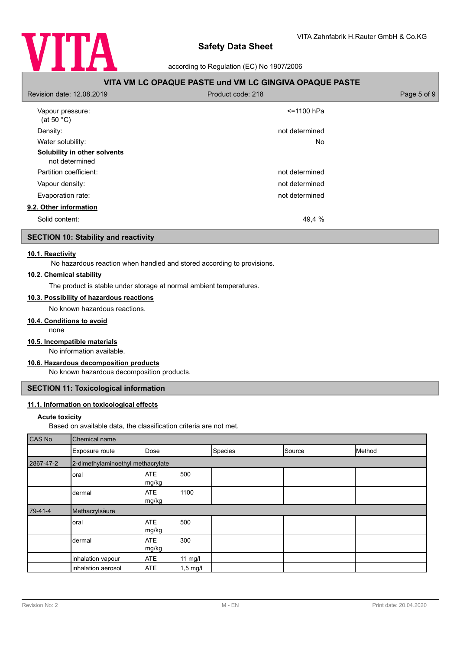

according to Regulation (EC) No 1907/2006

| VITA VM LC OPAQUE PASTE und VM LC GINGIVA OPAQUE PASTE |                   |             |  |
|--------------------------------------------------------|-------------------|-------------|--|
| Revision date: 12.08.2019                              | Product code: 218 | Page 5 of 9 |  |
| Vapour pressure:<br>(at 50 $^{\circ}$ C)               | <=1100 hPa        |             |  |
| Density:                                               | not determined    |             |  |
| Water solubility:                                      | <b>No</b>         |             |  |
| Solubility in other solvents<br>not determined         |                   |             |  |
| Partition coefficient:                                 | not determined    |             |  |
| Vapour density:                                        | not determined    |             |  |
| Evaporation rate:                                      | not determined    |             |  |
| 9.2. Other information                                 |                   |             |  |
| Solid content:                                         | 49,4 %            |             |  |

# **SECTION 10: Stability and reactivity**

# **10.1. Reactivity**

No hazardous reaction when handled and stored according to provisions.

# **10.2. Chemical stability**

The product is stable under storage at normal ambient temperatures.

# **10.3. Possibility of hazardous reactions**

No known hazardous reactions.

#### **10.4. Conditions to avoid**

none

# **10.5. Incompatible materials**

No information available.

# **10.6. Hazardous decomposition products**

No known hazardous decomposition products.

# **SECTION 11: Toxicological information**

# **11.1. Information on toxicological effects**

#### **Acute toxicity**

Based on available data, the classification criteria are not met.

| CAS No    | Chemical name                     |                     |            |         |        |        |
|-----------|-----------------------------------|---------------------|------------|---------|--------|--------|
|           | Exposure route                    | Dose                |            | Species | Source | Method |
| 2867-47-2 | 2-dimethylaminoethyl methacrylate |                     |            |         |        |        |
|           | oral                              | <b>ATE</b><br>mg/kg | 500        |         |        |        |
|           | dermal                            | <b>ATE</b><br>mg/kg | 1100       |         |        |        |
| $79-41-4$ | Methacrylsäure                    |                     |            |         |        |        |
|           | oral                              | <b>ATE</b><br>mg/kg | 500        |         |        |        |
|           | dermal                            | <b>ATE</b><br>mg/kg | 300        |         |        |        |
|           | inhalation vapour                 | <b>ATE</b>          | $11$ mg/l  |         |        |        |
|           | inhalation aerosol                | <b>ATE</b>          | $1,5$ mg/l |         |        |        |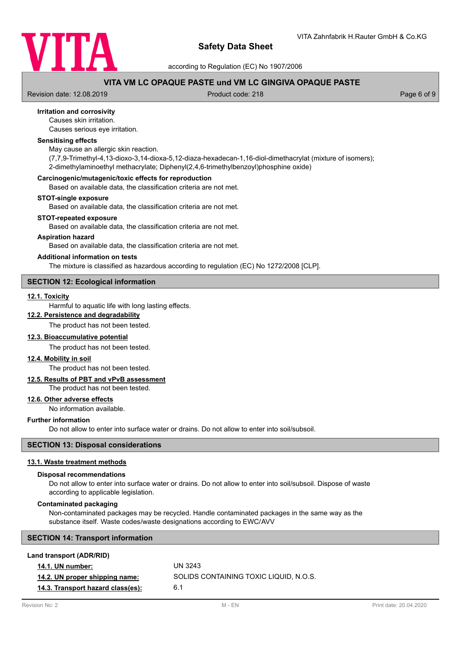

according to Regulation (EC) No 1907/2006

# **VITA VM LC OPAQUE PASTE und VM LC GINGIVA OPAQUE PASTE**

Revision date: 12.08.2019 **Product code: 218** Product code: 218 **Page 6 of 9** Page 6 of 9

# **Irritation and corrosivity**

Causes skin irritation.

Causes serious eye irritation.

# **Sensitising effects**

May cause an allergic skin reaction.

(7,7,9-Trimethyl-4,13-dioxo-3,14-dioxa-5,12-diaza-hexadecan-1,16-diol-dimethacrylat (mixture of isomers); 2-dimethylaminoethyl methacrylate; Diphenyl(2,4,6-trimethylbenzoyl)phosphine oxide)

#### **Carcinogenic/mutagenic/toxic effects for reproduction**

Based on available data, the classification criteria are not met.

#### **STOT-single exposure**

Based on available data, the classification criteria are not met.

#### **STOT-repeated exposure**

Based on available data, the classification criteria are not met.

# **Aspiration hazard**

Based on available data, the classification criteria are not met.

#### **Additional information on tests**

The mixture is classified as hazardous according to regulation (EC) No 1272/2008 [CLP].

# **SECTION 12: Ecological information**

# **12.1. Toxicity**

Harmful to aquatic life with long lasting effects.

# **12.2. Persistence and degradability**

The product has not been tested.

## **12.3. Bioaccumulative potential**

The product has not been tested.

#### **12.4. Mobility in soil**

The product has not been tested.

# **12.5. Results of PBT and vPvB assessment**

The product has not been tested.

# **12.6. Other adverse effects**

No information available.

# **Further information**

Do not allow to enter into surface water or drains. Do not allow to enter into soil/subsoil.

# **SECTION 13: Disposal considerations**

# **13.1. Waste treatment methods**

#### **Disposal recommendations**

Do not allow to enter into surface water or drains. Do not allow to enter into soil/subsoil. Dispose of waste according to applicable legislation.

#### **Contaminated packaging**

Non-contaminated packages may be recycled. Handle contaminated packages in the same way as the substance itself. Waste codes/waste designations according to EWC/AVV

# **SECTION 14: Transport information**

| Land transport (ADR/RID)          |                                        |
|-----------------------------------|----------------------------------------|
| <b>14.1. UN number:</b>           | UN 3243                                |
| 14.2. UN proper shipping name:    | SOLIDS CONTAINING TOXIC LIQUID. N.O.S. |
| 14.3. Transport hazard class(es): | 6.1                                    |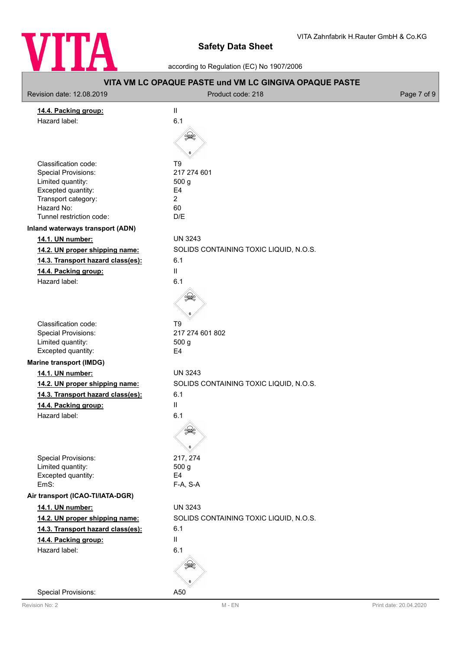

٦

according to Regulation (EC) No 1907/2006

| VITA VM LC OPAQUE PASTE und VM LC GINGIVA OPAQUE PASTE                                                                                                         |                                                                                                               |             |
|----------------------------------------------------------------------------------------------------------------------------------------------------------------|---------------------------------------------------------------------------------------------------------------|-------------|
| Revision date: 12.08.2019                                                                                                                                      | Product code: 218                                                                                             | Page 7 of 9 |
| 14.4. Packing group:<br>Hazard label:                                                                                                                          | $\mathbf{II}$<br>6.1                                                                                          |             |
| Classification code:<br><b>Special Provisions:</b><br>Limited quantity:<br>Excepted quantity:<br>Transport category:<br>Hazard No:<br>Tunnel restriction code: | T <sub>9</sub><br>217 274 601<br>500 g<br>E <sub>4</sub><br>$\overline{2}$<br>60<br>D/E                       |             |
| Inland waterways transport (ADN)                                                                                                                               |                                                                                                               |             |
| 14.1. UN number:<br>14.2. UN proper shipping name:<br>14.3. Transport hazard class(es):<br>14.4. Packing group:<br>Hazard label:                               | <b>UN 3243</b><br>SOLIDS CONTAINING TOXIC LIQUID, N.O.S.<br>6.1<br>$\vert\vert$<br>6.1                        |             |
| Classification code:<br><b>Special Provisions:</b><br>Limited quantity:<br>Excepted quantity:                                                                  | T <sub>9</sub><br>217 274 601 802<br>500 g<br>E <sub>4</sub>                                                  |             |
| <b>Marine transport (IMDG)</b>                                                                                                                                 |                                                                                                               |             |
| 14.1. UN number:<br>14.2. UN proper shipping name:<br>14.3. Transport hazard class(es):<br>14.4. Packing group:<br>Hazard label:                               | <b>UN 3243</b><br>SOLIDS CONTAINING TOXIC LIQUID, N.O.S.<br>6.1<br>$\mathbf{II}$<br>6.1<br>Â.<br>$\mathbb{R}$ |             |
| <b>Special Provisions:</b><br>Limited quantity:<br>Excepted quantity:<br>EmS:                                                                                  | 217, 274<br>500 g<br>E4<br>F-A, S-A                                                                           |             |
| Air transport (ICAO-TI/IATA-DGR)                                                                                                                               |                                                                                                               |             |
| 14.1. UN number:<br>14.2. UN proper shipping name:<br>14.3. Transport hazard class(es):<br>14.4. Packing group:<br>Hazard label:                               | <b>UN 3243</b><br>SOLIDS CONTAINING TOXIC LIQUID, N.O.S.<br>6.1<br>$\mathbf{II}$<br>6.1                       |             |
| <b>Special Provisions:</b>                                                                                                                                     | A50                                                                                                           |             |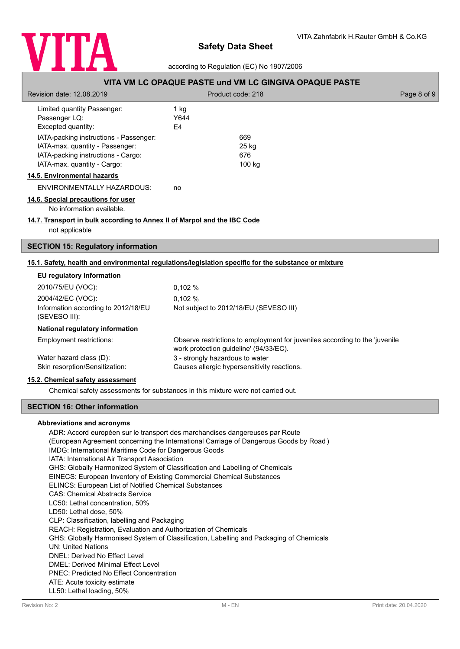

according to Regulation (EC) No 1907/2006

| <u>VIIA VIII LU UFAQUE FAJTE UIIU VIII LU UIIVUIVA UFAQUE FAJTE</u>                                                                                           |                                             |                                                                             |             |
|---------------------------------------------------------------------------------------------------------------------------------------------------------------|---------------------------------------------|-----------------------------------------------------------------------------|-------------|
| Revision date: 12.08.2019                                                                                                                                     | Product code: 218                           |                                                                             | Page 8 of 9 |
| Limited quantity Passenger:<br>Passenger LQ:<br>Excepted quantity:<br>IATA-packing instructions - Passenger:                                                  | $1$ kg<br>Y644<br>E4<br>669                 |                                                                             |             |
| IATA-max. quantity - Passenger:<br>IATA-packing instructions - Cargo:<br>IATA-max. quantity - Cargo:                                                          | 25 kg<br>676                                | 100 kg                                                                      |             |
| 14.5. Environmental hazards                                                                                                                                   |                                             |                                                                             |             |
| ENVIRONMENTALLY HAZARDOUS:                                                                                                                                    | no                                          |                                                                             |             |
| 14.6. Special precautions for user<br>No information available.<br>14.7. Transport in bulk according to Annex II of Marpol and the IBC Code<br>not applicable |                                             |                                                                             |             |
| <b>SECTION 15: Regulatory information</b>                                                                                                                     |                                             |                                                                             |             |
| 15.1. Safety, health and environmental regulations/legislation specific for the substance or mixture                                                          |                                             |                                                                             |             |
| EU regulatory information                                                                                                                                     |                                             |                                                                             |             |
| 2010/75/EU (VOC):                                                                                                                                             | 0,102%                                      |                                                                             |             |
| 2004/42/EC (VOC):                                                                                                                                             | 0,102 %                                     |                                                                             |             |
| Information according to 2012/18/EU<br>(SEVESO III):                                                                                                          | Not subject to 2012/18/EU (SEVESO III)      |                                                                             |             |
| National regulatory information                                                                                                                               |                                             |                                                                             |             |
| Employment restrictions:                                                                                                                                      | work protection guideline' (94/33/EC).      | Observe restrictions to employment for juveniles according to the 'juvenile |             |
| Water hazard class (D):                                                                                                                                       | 3 - strongly hazardous to water             |                                                                             |             |
| Skin resorption/Sensitization:                                                                                                                                | Causes allergic hypersensitivity reactions. |                                                                             |             |
| 15.2. Chemical safety assessment                                                                                                                              |                                             |                                                                             |             |
| Chemical safety assessments for substances in this mixture were not carried out.                                                                              |                                             |                                                                             |             |

# **SECTION 16: Other information**

#### **Abbreviations and acronyms**

ADR: Accord européen sur le transport des marchandises dangereuses par Route (European Agreement concerning the International Carriage of Dangerous Goods by Road ) IMDG: International Maritime Code for Dangerous Goods IATA: International Air Transport Association GHS: Globally Harmonized System of Classification and Labelling of Chemicals EINECS: European Inventory of Existing Commercial Chemical Substances ELINCS: European List of Notified Chemical Substances CAS: Chemical Abstracts Service LC50: Lethal concentration, 50% LD50: Lethal dose, 50% CLP: Classification, labelling and Packaging REACH: Registration, Evaluation and Authorization of Chemicals GHS: Globally Harmonised System of Classification, Labelling and Packaging of Chemicals UN: United Nations DNEL: Derived No Effect Level DMEL: Derived Minimal Effect Level PNEC: Predicted No Effect Concentration ATE: Acute toxicity estimate LL50: Lethal loading, 50%